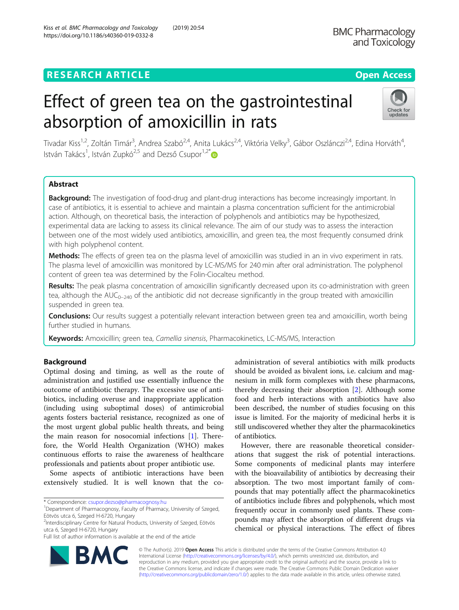# **RESEARCH ARTICLE Example 2014 12:30 The Contract of Contract ACCESS**

# Effect of green tea on the gastrointestinal absorption of amoxicillin in rats



Tivadar Kiss<sup>1,2</sup>, Zoltán Timár<sup>3</sup>, Andrea Szabó<sup>2,4</sup>, Anita Lukács<sup>2,4</sup>, Viktória Velky<sup>3</sup>, Gábor Oszlánczi<sup>2,4</sup>, Edina Horváth<sup>4</sup> , István Takács<sup>1</sup>, István Zupkó<sup>2,5</sup> and Dezső Csupor<sup>1,2\*</sup>

# Abstract

**Background:** The investigation of food-drug and plant-drug interactions has become increasingly important. In case of antibiotics, it is essential to achieve and maintain a plasma concentration sufficient for the antimicrobial action. Although, on theoretical basis, the interaction of polyphenols and antibiotics may be hypothesized, experimental data are lacking to assess its clinical relevance. The aim of our study was to assess the interaction between one of the most widely used antibiotics, amoxicillin, and green tea, the most frequently consumed drink with high polyphenol content.

Methods: The effects of green tea on the plasma level of amoxicillin was studied in an in vivo experiment in rats. The plasma level of amoxicillin was monitored by LC-MS/MS for 240 min after oral administration. The polyphenol content of green tea was determined by the Folin-Ciocalteu method.

Results: The peak plasma concentration of amoxicillin significantly decreased upon its co-administration with green tea, although the  $AUC_{0-240}$  of the antibiotic did not decrease significantly in the group treated with amoxicillin suspended in green tea.

**Conclusions:** Our results suggest a potentially relevant interaction between green tea and amoxicillin, worth being further studied in humans.

Keywords: Amoxicillin; green tea, Camellia sinensis, Pharmacokinetics, LC-MS/MS, Interaction

# Background

Optimal dosing and timing, as well as the route of administration and justified use essentially influence the outcome of antibiotic therapy. The excessive use of antibiotics, including overuse and inappropriate application (including using suboptimal doses) of antimicrobial agents fosters bacterial resistance, recognized as one of the most urgent global public health threats, and being the main reason for nosocomial infections [[1](#page-6-0)]. Therefore, the World Health Organization (WHO) makes continuous efforts to raise the awareness of healthcare professionals and patients about proper antibiotic use.

Some aspects of antibiotic interactions have been extensively studied. It is well known that the co-

\* Correspondence: [csupor.dezso@pharmacognosy.hu](mailto:csupor.dezso@pharmacognosy.hu) <sup>1</sup>

2 Interdisciplinary Centre for Natural Products, University of Szeged, Eötvös utca 6, Szeged H-6720, Hungary

Full list of author information is available at the end of the article

administration of several antibiotics with milk products should be avoided as bivalent ions, i.e. calcium and magnesium in milk form complexes with these pharmacons, thereby decreasing their absorption [\[2](#page-6-0)]. Although some food and herb interactions with antibiotics have also been described, the number of studies focusing on this issue is limited. For the majority of medicinal herbs it is still undiscovered whether they alter the pharmacokinetics of antibiotics.

However, there are reasonable theoretical considerations that suggest the risk of potential interactions. Some components of medicinal plants may interfere with the bioavailability of antibiotics by decreasing their absorption. The two most important family of compounds that may potentially affect the pharmacokinetics of antibiotics include fibres and polyphenols, which most frequently occur in commonly used plants. These compounds may affect the absorption of different drugs via chemical or physical interactions. The effect of fibres



© The Author(s). 2019 **Open Access** This article is distributed under the terms of the Creative Commons Attribution 4.0 International License [\(http://creativecommons.org/licenses/by/4.0/](http://creativecommons.org/licenses/by/4.0/)), which permits unrestricted use, distribution, and reproduction in any medium, provided you give appropriate credit to the original author(s) and the source, provide a link to the Creative Commons license, and indicate if changes were made. The Creative Commons Public Domain Dedication waiver [\(http://creativecommons.org/publicdomain/zero/1.0/](http://creativecommons.org/publicdomain/zero/1.0/)) applies to the data made available in this article, unless otherwise stated.

<sup>&</sup>lt;sup>1</sup>Department of Pharmacognosy, Faculty of Pharmacy, University of Szeged, Eötvös utca 6, Szeged H-6720, Hungary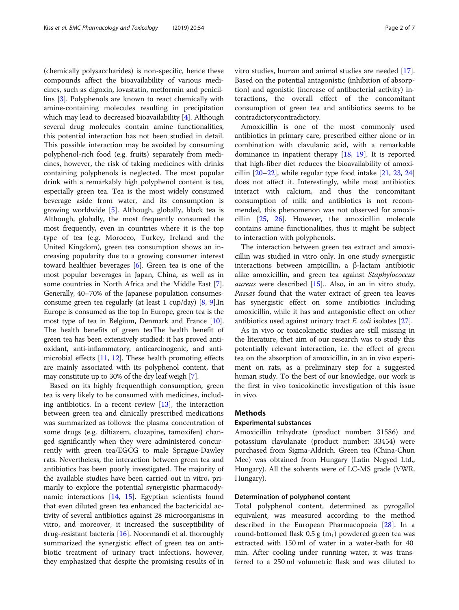(chemically polysaccharides) is non-specific, hence these compounds affect the bioavailability of various medicines, such as digoxin, lovastatin, metformin and penicillins [[3](#page-6-0)]. Polyphenols are known to react chemically with amine-containing molecules resulting in precipitation which may lead to decreased bioavailability [\[4\]](#page-6-0). Although several drug molecules contain amine functionalities, this potential interaction has not been studied in detail. This possible interaction may be avoided by consuming polyphenol-rich food (e.g. fruits) separately from medicines, however, the risk of taking medicines with drinks containing polyphenols is neglected. The most popular drink with a remarkably high polyphenol content is tea, especially green tea. Tea is the most widely consumed beverage aside from water, and its consumption is growing worldwide [\[5](#page-6-0)]. Although, globally, black tea is Although, globally, the most frequently consumed the most frequently, even in countries where it is the top type of tea (e.g. Morocco, Turkey, Ireland and the United Kingdom), green tea consumption shows an increasing popularity due to a growing consumer interest toward healthier beverages [[6\]](#page-6-0). Green tea is one of the most popular beverages in Japan, China, as well as in some countries in North Africa and the Middle East [\[7](#page-6-0)]. Generally, 40–70% of the Japanese population consumesconsume green tea regularly (at least 1 cup/day) [[8](#page-6-0), [9\]](#page-6-0).In Europe is consumed as the top In Europe, green tea is the most type of tea in Belgium, Denmark and France [[10](#page-6-0)]. The health benefits of green teaThe health benefit of green tea has been extensively studied: it has proved antioxidant, anti-inflammatory, anticarcinogenic, and antimicrobial effects  $[11, 12]$  $[11, 12]$  $[11, 12]$  $[11, 12]$ . These health promoting effects are mainly associated with its polyphenol content, that may constitute up to 30% of the dry leaf weigh [\[7\]](#page-6-0).

Based on its highly frequenthigh consumption, green tea is very likely to be consumed with medicines, including antibiotics. In a recent review  $[13]$ , the interaction between green tea and clinically prescribed medications was summarized as follows: the plasma concentration of some drugs (e.g. diltiazem, clozapine, tamoxifen) changed significantly when they were administered concurrently with green tea/EGCG to male Sprague-Dawley rats. Nevertheless, the interaction between green tea and antibiotics has been poorly investigated. The majority of the available studies have been carried out in vitro, primarily to explore the potential synergistic pharmacodynamic interactions [\[14](#page-6-0), [15\]](#page-6-0). Egyptian scientists found that even diluted green tea enhanced the bactericidal activity of several antibiotics against 28 microorganisms in vitro, and moreover, it increased the susceptibility of drug-resistant bacteria [[16\]](#page-6-0). Noormandi et al. thoroughly summarized the synergistic effect of green tea on antibiotic treatment of urinary tract infections, however, they emphasized that despite the promising results of in vitro studies, human and animal studies are needed [\[17](#page-6-0)]. Based on the potential antagonistic (inhibition of absorption) and agonistic (increase of antibacterial activity) interactions, the overall effect of the concomitant consumption of green tea and antibiotics seems to be contradictorycontradictory.

Amoxicillin is one of the most commonly used antibiotics in primary care, prescribed either alone or in combination with clavulanic acid, with a remarkable dominance in inpatient therapy [[18,](#page-6-0) [19](#page-6-0)]. It is reported that high-fiber diet reduces the bioavailability of amoxicillin  $[20-22]$  $[20-22]$  $[20-22]$ , while regular type food intake  $[21, 23, 24]$  $[21, 23, 24]$  $[21, 23, 24]$  $[21, 23, 24]$  $[21, 23, 24]$  $[21, 23, 24]$ does not affect it. Interestingly, while most antibiotics interact with calcium, and thus the concomitant consumption of milk and antibiotics is not recommended, this phenomenon was not observed for amoxicillin [\[25](#page-6-0), [26](#page-6-0)]. However, the amoxicillin molecule contains amine functionalities, thus it might be subject to interaction with polyphenols.

The interaction between green tea extract and amoxicillin was studied in vitro only. In one study synergistic interactions between ampicillin, a β-lactam antibiotic alike amoxicillin, and green tea against Staphylococcus *aureus* were described  $[15]$ .. Also, in an in vitro study, Passat found that the water extract of green tea leaves has synergistic effect on some antibiotics including amoxicillin, while it has and antagonistic effect on other antibiotics used against urinary tract E. coli isolates [[27](#page-6-0)].

As in vivo or toxicokinetic studies are still missing in the literature, thet aim of our research was to study this potentially relevant interaction, i.e. the effect of green tea on the absorption of amoxicillin, in an in vivo experiment on rats, as a preliminary step for a suggested human study. To the best of our knowledge, our work is the first in vivo toxicokinetic investigation of this issue in vivo.

# Methods

### Experimental substances

Amoxicillin trihydrate (product number: 31586) and potassium clavulanate (product number: 33454) were purchased from Sigma-Aldrich. Green tea (China-Chun Mee) was obtained from Hungary (Latin Negyed Ltd., Hungary). All the solvents were of LC-MS grade (VWR, Hungary).

# Determination of polyphenol content

Total polyphenol content, determined as pyrogallol equivalent, was measured according to the method described in the European Pharmacopoeia [[28](#page-6-0)]. In a round-bottomed flask  $0.5 g (m<sub>1</sub>)$  powdered green tea was extracted with 150 ml of water in a water-bath for 40 min. After cooling under running water, it was transferred to a 250 ml volumetric flask and was diluted to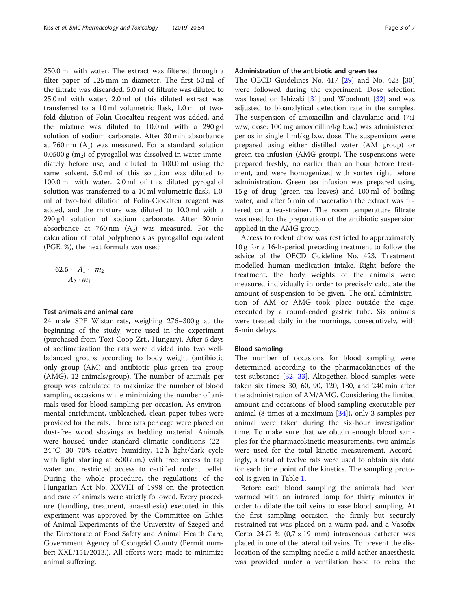250.0 ml with water. The extract was filtered through a filter paper of 125 mm in diameter. The first 50 ml of the filtrate was discarded. 5.0 ml of filtrate was diluted to 25.0 ml with water. 2.0 ml of this diluted extract was transferred to a 10 ml volumetric flask, 1.0 ml of twofold dilution of Folin-Ciocalteu reagent was added, and the mixture was diluted to 10.0 ml with a 290 g/l solution of sodium carbonate. After 30 min absorbance at 760 nm  $(A_1)$  was measured. For a standard solution 0.0500 g  $(m<sub>2</sub>)$  of pyrogallol was dissolved in water immediately before use, and diluted to 100.0 ml using the same solvent. 5.0 ml of this solution was diluted to 100.0 ml with water. 2.0 ml of this diluted pyrogallol solution was transferred to a 10 ml volumetric flask, 1.0 ml of two-fold dilution of Folin-Ciocalteu reagent was added, and the mixture was diluted to 10.0 ml with a 290 g/l solution of sodium carbonate. After 30 min absorbance at 760 nm  $(A_2)$  was measured. For the calculation of total polyphenols as pyrogallol equivalent (PGE, %), the next formula was used:

$$
\frac{62.5 \cdot A_1 \cdot m_2}{A_2 \cdot m_1}
$$

# Test animals and animal care

24 male SPF Wistar rats, weighing 276–300 g at the beginning of the study, were used in the experiment (purchased from Toxi-Coop Zrt., Hungary). After 5 days of acclimatization the rats were divided into two wellbalanced groups according to body weight (antibiotic only group (AM) and antibiotic plus green tea group (AMG), 12 animals/group). The number of animals per group was calculated to maximize the number of blood sampling occasions while minimizing the number of animals used for blood sampling per occasion. As environmental enrichment, unbleached, clean paper tubes were provided for the rats. Three rats per cage were placed on dust-free wood shavings as bedding material. Animals were housed under standard climatic conditions (22– 24 °C, 30–70% relative humidity, 12 h light/dark cycle with light starting at 6:00 a.m.) with free access to tap water and restricted access to certified rodent pellet. During the whole procedure, the regulations of the Hungarian Act No. XXVIII of 1998 on the protection and care of animals were strictly followed. Every procedure (handling, treatment, anaesthesia) executed in this experiment was approved by the Committee on Ethics of Animal Experiments of the University of Szeged and the Directorate of Food Safety and Animal Health Care, Government Agency of Csongrád County (Permit number: XXI./151/2013.). All efforts were made to minimize animal suffering.

# Administration of the antibiotic and green tea

The OECD Guidelines No. 417 [[29\]](#page-6-0) and No. 423 [[30](#page-6-0)] were followed during the experiment. Dose selection was based on Ishizaki  $[31]$  $[31]$  and Woodnutt  $[32]$  $[32]$  and was adjusted to bioanalytical detection rate in the samples. The suspension of amoxicillin and clavulanic acid (7:1 w/w; dose: 100 mg amoxicillin/kg b.w.) was administered per os in single 1 ml/kg b.w. dose. The suspensions were prepared using either distilled water (AM group) or green tea infusion (AMG group). The suspensions were prepared freshly, no earlier than an hour before treatment, and were homogenized with vortex right before administration. Green tea infusion was prepared using 15 g of drug (green tea leaves) and 100 ml of boiling water, and after 5 min of maceration the extract was filtered on a tea-strainer. The room temperature filtrate was used for the preparation of the antibiotic suspension applied in the AMG group.

Access to rodent chow was restricted to approximately 10 g for a 16-h-period preceding treatment to follow the advice of the OECD Guideline No. 423. Treatment modelled human medication intake. Right before the treatment, the body weights of the animals were measured individually in order to precisely calculate the amount of suspension to be given. The oral administration of AM or AMG took place outside the cage, executed by a round-ended gastric tube. Six animals were treated daily in the mornings, consecutively, with 5-min delays.

# Blood sampling

The number of occasions for blood sampling were determined according to the pharmacokinetics of the test substance [\[32](#page-6-0), [33](#page-6-0)]. Altogether, blood samples were taken six times: 30, 60, 90, 120, 180, and 240 min after the administration of AM/AMG. Considering the limited amount and occasions of blood sampling executable per animal (8 times at a maximum [\[34\]](#page-6-0)), only 3 samples per animal were taken during the six-hour investigation time. To make sure that we obtain enough blood samples for the pharmacokinetic measurements, two animals were used for the total kinetic measurement. Accordingly, a total of twelve rats were used to obtain six data for each time point of the kinetics. The sampling protocol is given in Table [1](#page-3-0).

Before each blood sampling the animals had been warmed with an infrared lamp for thirty minutes in order to dilate the tail veins to ease blood sampling. At the first sampling occasion, the firmly but securely restrained rat was placed on a warm pad, and a Vasofix Certo 24 G  $\frac{3}{4}$  (0,7 × 19 mm) intravenous catheter was placed in one of the lateral tail veins. To prevent the dislocation of the sampling needle a mild aether anaesthesia was provided under a ventilation hood to relax the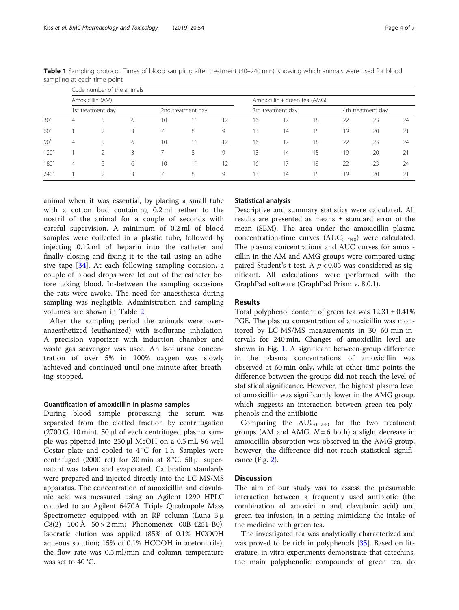|      |                   | Code number of the animals |   |                   |    |    |                               |    |    |                   |    |    |  |
|------|-------------------|----------------------------|---|-------------------|----|----|-------------------------------|----|----|-------------------|----|----|--|
|      | Amoxicillin (AM)  |                            |   |                   |    |    | Amoxicillin + green tea (AMG) |    |    |                   |    |    |  |
|      | 1st treatment day |                            |   | 2nd treatment day |    |    | 3rd treatment day             |    |    | 4th treatment day |    |    |  |
| 30'  | 4                 |                            | 6 | 10                |    |    | 16                            |    | 18 | 22                | 23 | 24 |  |
| 60'  |                   | $\mathcal{D}$              | 3 |                   | 8  | 9  | 13                            | 14 | 15 | 19                | 20 |    |  |
| 90'  | 4                 | 5                          | 6 | 10                | 11 | 12 | 16                            |    | 18 | 22                | 23 | 24 |  |
| 120' |                   | $\mathcal{P}$              | 3 |                   | 8  | 9  | 13                            | 14 | 15 | 19                | 20 | 21 |  |
| 180' | $\overline{4}$    | 5                          | 6 | 10                |    | 12 | 16                            |    | 18 | 22                | 23 | 24 |  |
| 240' |                   |                            | 3 |                   | 8  | 9  | 3                             | 14 | 15 | 19                | 20 |    |  |

<span id="page-3-0"></span>Table 1 Sampling protocol. Times of blood sampling after treatment (30–240 min), showing which animals were used for blood sampling at each time point

animal when it was essential, by placing a small tube with a cotton bud containing 0.2 ml aether to the nostril of the animal for a couple of seconds with careful supervision. A minimum of 0.2 ml of blood samples were collected in a plastic tube, followed by injecting 0.12 ml of heparin into the catheter and finally closing and fixing it to the tail using an adhesive tape [[34\]](#page-6-0). At each following sampling occasion, a couple of blood drops were let out of the catheter before taking blood. In-between the sampling occasions the rats were awoke. The need for anaesthesia during sampling was negligible. Administration and sampling volumes are shown in Table [2](#page-4-0).

After the sampling period the animals were overanaesthetized (euthanized) with isoflurane inhalation. A precision vaporizer with induction chamber and waste gas scavenger was used. An isoflurane concentration of over 5% in 100% oxygen was slowly achieved and continued until one minute after breathing stopped.

#### Quantification of amoxicillin in plasma samples

During blood sample processing the serum was separated from the clotted fraction by centrifugation (2700 G, 10 min). 50  $\mu$ l of each centrifuged plasma sample was pipetted into 250 μl MeOH on a 0.5 mL 96-well Costar plate and cooled to  $4^{\circ}$ C for 1 h. Samples were centrifuged (2000 rcf) for 30 min at  $8\degree$ C. 50 µl supernatant was taken and evaporated. Calibration standards were prepared and injected directly into the LC-MS/MS apparatus. The concentration of amoxicillin and clavulanic acid was measured using an Agilent 1290 HPLC coupled to an Agilent 6470A Triple Quadrupole Mass Spectrometer equipped with an RP column (Luna 3 μ C8(2)  $100 \text{ Å}$   $50 \times 2 \text{ mm}$ ; Phenomenex 00B-4251-B0). Isocratic elution was applied (85% of 0.1% HCOOH aqueous solution; 15% of 0.1% HCOOH in acetonitrile), the flow rate was 0.5 ml/min and column temperature was set to 40 °C.

# Statistical analysis

Descriptive and summary statistics were calculated. All results are presented as means ± standard error of the mean (SEM). The area under the amoxicillin plasma concentration-time curves  $(AUC_{0-240})$  were calculated. The plasma concentrations and AUC curves for amoxicillin in the AM and AMG groups were compared using paired Student's t-test. A  $p < 0.05$  was considered as significant. All calculations were performed with the GraphPad software (GraphPad Prism v. 8.0.1).

# Results

Total polyphenol content of green tea was  $12.31 \pm 0.41\%$ PGE. The plasma concentration of amoxicillin was monitored by LC-MS/MS measurements in 30–60-min-intervals for 240 min. Changes of amoxicillin level are shown in Fig. [1](#page-4-0). A significant between-group difference in the plasma concentrations of amoxicillin was observed at 60 min only, while at other time points the difference between the groups did not reach the level of statistical significance. However, the highest plasma level of amoxicillin was significantly lower in the AMG group, which suggests an interaction between green tea polyphenols and the antibiotic.

Comparing the  $AUC_{0-240}$  for the two treatment groups (AM and AMG,  $N = 6$  both) a slight decrease in amoxicillin absorption was observed in the AMG group, however, the difference did not reach statistical significance (Fig. [2](#page-5-0)).

# **Discussion**

The aim of our study was to assess the presumable interaction between a frequently used antibiotic (the combination of amoxicillin and clavulanic acid) and green tea infusion, in a setting mimicking the intake of the medicine with green tea.

The investigated tea was analytically characterized and was proved to be rich in polyphenols [[35\]](#page-6-0). Based on literature, in vitro experiments demonstrate that catechins, the main polyphenolic compounds of green tea, do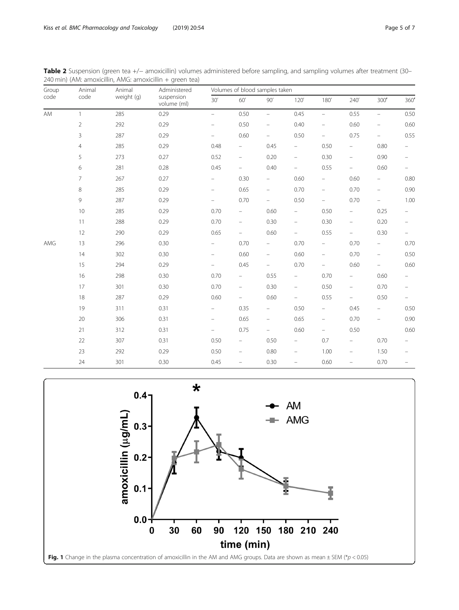<span id="page-4-0"></span>

| Table 2 Suspension (green tea +/- amoxicillin) volumes administered before sampling, and sampling volumes after treatment (30- |  |  |
|--------------------------------------------------------------------------------------------------------------------------------|--|--|
| 240 min) (AM: amoxicillin, AMG: amoxicillin + green tea)                                                                       |  |  |

| Group<br>code | Animal         | Animal<br>weight (g) | Administered<br>suspension<br>volume (ml) | Volumes of blood samples taken |                          |                          |                          |                                                                           |                          |                          |                          |  |
|---------------|----------------|----------------------|-------------------------------------------|--------------------------------|--------------------------|--------------------------|--------------------------|---------------------------------------------------------------------------|--------------------------|--------------------------|--------------------------|--|
|               | code           |                      |                                           | 30'                            | 60'                      | 90'                      | 120'                     | 180'                                                                      | 240'                     | 300'                     | 360'                     |  |
| AM            | $\mathbf{1}$   | 285                  | 0.29                                      | $\equiv$                       | 0.50                     | $\equiv$                 | 0.45                     | $\equiv$                                                                  | 0.55                     | $\equiv$                 | 0.50                     |  |
|               | $\overline{2}$ | 292                  | 0.29                                      | $\qquad \qquad -$              | 0.50                     | $\overline{\phantom{0}}$ | 0.40                     | $\overline{\phantom{a}}$                                                  | 0.60                     | $\qquad \qquad -$        | 0.60                     |  |
|               | 3              | 287                  | 0.29                                      | $\overline{\phantom{0}}$       | 0.60                     | $\overline{\phantom{0}}$ | 0.50                     | $\equiv$                                                                  | 0.75                     | $\equiv$                 | 0.55                     |  |
|               | $\overline{4}$ | 285                  | 0.29                                      | 0.48                           | $\overline{\phantom{0}}$ | 0.45                     | $\frac{1}{2}$            | 0.50                                                                      | $\overline{\phantom{m}}$ | 0.80                     | $\overline{\phantom{0}}$ |  |
|               | 5              | 273                  | 0.27                                      | 0.52                           | $\overline{\phantom{m}}$ | 0.20                     | $\qquad \qquad -$        | 0.30                                                                      | $\overline{\phantom{m}}$ | 0.90                     | $\overline{\phantom{a}}$ |  |
|               | 6              | 281                  | 0.28                                      | 0.45                           | $\overline{\phantom{a}}$ | 0.40                     | $\frac{1}{2}$            | 0.55                                                                      | $\overline{\phantom{m}}$ | 0.60                     | $\overline{\phantom{0}}$ |  |
|               | $\overline{7}$ | 267                  | 0.27                                      | $\overline{\phantom{0}}$       | 0.30                     | $\overline{\phantom{0}}$ | 0.60                     | $\overline{\phantom{a}}$                                                  | 0.60                     | $\overline{\phantom{0}}$ | 0.80                     |  |
|               | 8              | 285                  | 0.29                                      | $\equiv$                       | 0.65                     | -                        | 0.70                     | $\equiv$                                                                  | 0.70                     | $\equiv$                 | 0.90                     |  |
|               | 9              | 287                  | 0.29                                      | $\overline{\phantom{0}}$       | 0.70                     | Ξ.                       | 0.50                     | $-$                                                                       | 0.70                     | $\equiv$                 | 1.00                     |  |
|               | $10$           | 285                  | 0.29                                      | 0.70                           | $\overline{\phantom{0}}$ | 0.60                     | $\overline{\phantom{0}}$ | 0.50                                                                      | $\overline{\phantom{m}}$ | 0.25                     | $-$                      |  |
|               | 11             | 288                  | 0.29                                      | 0.70                           | $\qquad \qquad -$        | 0.30                     | $\qquad \qquad -$        | 0.30                                                                      | $\qquad \qquad -$        | 0.20                     | -                        |  |
|               | 12             | 290                  | 0.29                                      | 0.65                           | $\equiv$                 | 0.60                     | $\overline{\phantom{0}}$ | 0.55                                                                      | $\equiv$                 | 0.30                     | $\overline{\phantom{0}}$ |  |
| AMG           | 13             | 296                  | 0.30                                      | $\frac{1}{2}$                  | 0.70                     | $\overline{\phantom{0}}$ | 0.70                     | $\overline{\phantom{a}}$                                                  | 0.70                     | $\overline{\phantom{0}}$ | 0.70                     |  |
|               | 14             | 302                  | 0.30                                      | $\equiv$                       | 0.60                     | $\overline{\phantom{0}}$ | 0.60                     | $\equiv$                                                                  | 0.70                     | $\overline{\phantom{a}}$ | 0.50                     |  |
|               | 15             | 294                  | 0.29                                      | $\overline{\phantom{0}}$       | 0.45                     | ÷,                       | 0.70                     | $\equiv$                                                                  | 0.60                     | $\equiv$                 | 0.60                     |  |
|               | 16             | 298                  | 0.30                                      | 0.70                           | $\overline{\phantom{0}}$ | 0.55                     | ÷                        | 0.70                                                                      | ÷                        | 0.60                     | $\overline{\phantom{0}}$ |  |
|               | 17             | 301                  | 0.30                                      | 0.70                           | $\overline{\phantom{0}}$ | 0.30                     | $\overline{\phantom{0}}$ | 0.50                                                                      | $\overline{\phantom{m}}$ | 0.70                     | $\overline{\phantom{a}}$ |  |
|               | 18             | 287                  | 0.29                                      | 0.60                           | $\overline{\phantom{0}}$ | 0.60                     | -                        | 0.55                                                                      | $\overline{\phantom{0}}$ | 0.50                     | $\overline{\phantom{0}}$ |  |
|               | 19             | 311                  | 0.31                                      | $\overline{\phantom{0}}$       | 0.35                     | $\overline{\phantom{0}}$ | 0.50                     | $\equiv$                                                                  | 0.45                     | $\overline{\phantom{0}}$ | 0.50                     |  |
|               | 20             | 306                  | 0.31                                      | $\qquad \qquad -$              | 0.65                     | $\overline{\phantom{0}}$ | 0.65                     | $\hspace{1.0cm} \rule{1.5cm}{0.15cm} \hspace{1.0cm} \rule{1.5cm}{0.15cm}$ | 0.70                     | $\qquad \qquad -$        | 0.90                     |  |
|               | 21             | 312                  | 0.31                                      | $-$                            | 0.75                     | $\overline{\phantom{0}}$ | 0.60                     | $\equiv$                                                                  | 0.50                     |                          | 0.60                     |  |
|               | 22             | 307                  | 0.31                                      | 0.50                           | $\qquad \qquad -$        | 0.50                     | $\qquad \qquad -$        | 0.7                                                                       | $\overline{\phantom{a}}$ | 0.70                     |                          |  |
|               | 23             | 292                  | 0.29                                      | 0.50                           | $\equiv$                 | 0.80                     | $\overline{\phantom{0}}$ | 1.00                                                                      | $\overline{\phantom{a}}$ | 1.50                     | $\equiv$                 |  |
|               | 24             | 301                  | 0.30                                      | 0.45                           | $\overline{\phantom{0}}$ | 0.30                     | $\overline{\phantom{0}}$ | 0.60                                                                      | $\overline{\phantom{m}}$ | 0.70                     |                          |  |

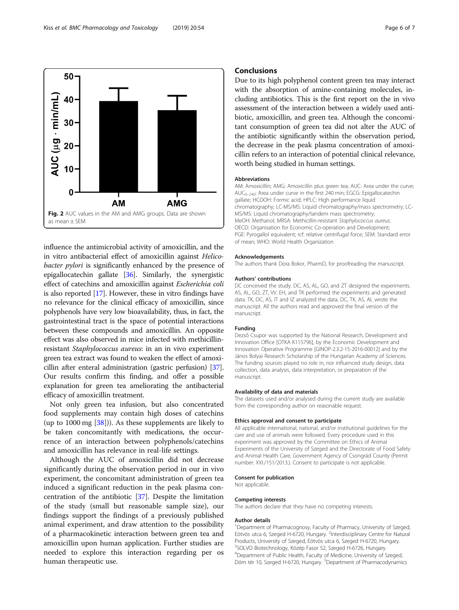influence the antimicrobial activity of amoxicillin, and the in vitro antibacterial effect of amoxicillin against Helicobacter pylori is significantly enhanced by the presence of epigallocatechin gallate [\[36\]](#page-6-0). Similarly, the synergistic effect of catechins and amoxicillin against Escherichia coli is also reported [\[17\]](#page-6-0). However, these in vitro findings have no relevance for the clinical efficacy of amoxicillin, since polyphenols have very low bioavailability, thus, in fact, the gastrointestinal tract is the space of potential interactions between these compounds and amoxicillin. An opposite effect was also observed in mice infected with methicillinresistant Staphylococcus aureus: in an in vivo experiment green tea extract was found to weaken the effect of amoxicillin after enteral administration (gastric perfusion) [[37](#page-6-0)]. Our results confirm this finding, and offer a possible explanation for green tea ameliorating the antibacterial efficacy of amoxicillin treatment.

Not only green tea infusion, but also concentrated food supplements may contain high doses of catechins (up to 1000 mg [\[38](#page-6-0)])). As these supplements are likely to be taken concomitantly with medications, the occurrence of an interaction between polyphenols/catechins and amoxicillin has relevance in real-life settings.

Although the AUC of amoxicillin did not decrease significantly during the observation period in our in vivo experiment, the concomitant administration of green tea induced a significant reduction in the peak plasma concentration of the antibiotic [[37\]](#page-6-0). Despite the limitation of the study (small but reasonable sample size), our findings support the findings of a previously published animal experiment, and draw attention to the possibility of a pharmacokinetic interaction between green tea and amoxicillin upon human application. Further studies are needed to explore this interaction regarding per os human therapeutic use.

# **Conclusions**

Due to its high polyphenol content green tea may interact with the absorption of amine-containing molecules, including antibiotics. This is the first report on the in vivo assessment of the interaction between a widely used antibiotic, amoxicillin, and green tea. Although the concomitant consumption of green tea did not alter the AUC of the antibiotic significantly within the observation period, the decrease in the peak plasma concentration of amoxicillin refers to an interaction of potential clinical relevance, worth being studied in human settings.

#### **Abbreviations**

AM: Amoxicillin; AMG: Amoxicillin plus green tea; AUC: Area under the curve;  $AUC_{0-240}$ : Area under curve in the first 240 min; EGCG: Epigallocatechin gallate; HCOOH: Formic acid; HPLC: High performance liquid chromatography; LC-MS/MS: Liquid chromatography/mass spectrometry; LC-MS/MS: Liquid chromatography/tandem mass spectrometry; MeOH: Methanol; MRSA: Methicillin-resistant Staphylococcus aureus; OECD: Organisation for Economic Co-operation and Development; PGE: Pyrogallol equivalent; rcf: relative centrifugal force; SEM: Standard error of mean; WHO: World Health Organization

#### Acknowledgements

The authors thank Dora Bokor, PharmD, for proofreading the manuscript.

#### Authors' contributions

DC conceived the study. DC, AS, AL, GO, and ZT designed the experiments. AS, AL, GO, ZT, VV, EH, and TK performed the experiments and generated data. TK, DC, AS, IT and IZ analyzed the data. DC, TK, AS, AL wrote the manuscript. All the authors read and approved the final version of the manuscript.

#### Funding

Dezső Csupor was supported by the National Research, Development and Innovation Office [OTKA K115796], by the Economic Development and Innovation Operative Programme [GINOP-2.3.2-15-2016-00012] and by the János Bolyai Research Scholarship of the Hungarian Academy of Sciences. The funding sources played no role in, nor influenced study design, data collection, data analysis, data interpretation, or preparation of the manuscript.

#### Availability of data and materials

The datasets used and/or analysed during the current study are available from the corresponding author on reasonable request.

#### Ethics approval and consent to participate

All applicable international, national, and/or institutional guidelines for the care and use of animals were followed. Every procedure used in this experiment was approved by the Committee on Ethics of Animal Experiments of the University of Szeged and the Directorate of Food Safety and Animal Health Care, Government Agency of Csongrád County (Permit number: XXI./151/2013.). Consent to participate is not applicable.

# Consent for publication

Not applicable.

### Competing interests

The authors declare that they have no competing interests.

#### Author details

<sup>1</sup>Department of Pharmacognosy, Faculty of Pharmacy, University of Szeged, Eötvös utca 6, Szeged H-6720, Hungary. <sup>2</sup>Interdisciplinary Centre for Natural Products, University of Szeged, Eötvös utca 6, Szeged H-6720, Hungary. 3 SOLVO Biotechnology, Közép Fasor 52, Szeged H-6726, Hungary. 4 Department of Public Health, Faculty of Medicine, University of Szeged, Dóm tér 10, Szeged H-6720, Hungary. <sup>5</sup>Department of Pharmacodynamics

/UC (ug - min/mL 40 30 20  $\bf{0}$ **AM AMG** Fig. 2 AUC values in the AM and AMG groups. Data are shown

<span id="page-5-0"></span>